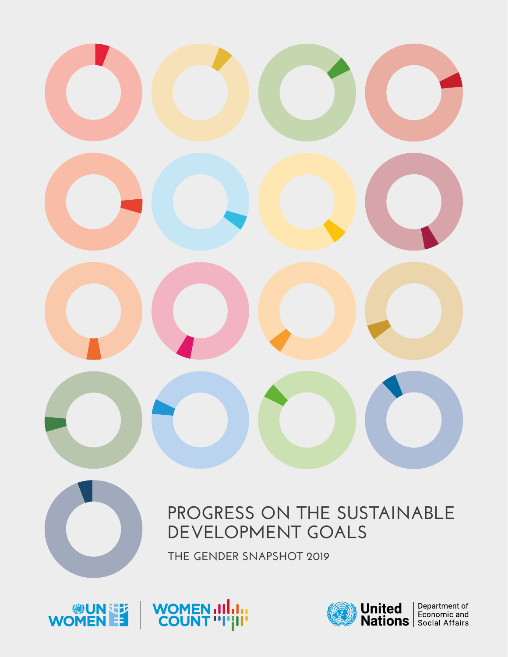





## **PROGRESS ON THE SUSTAINABLE DEVELOPMENT GOALS**



**THE GENDER SNAPSHOT 2019**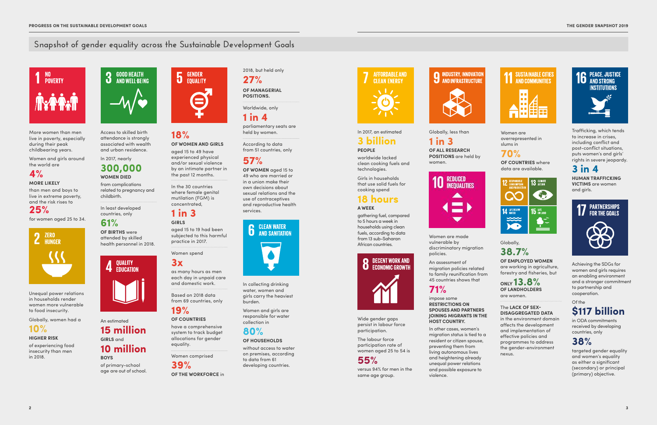

### **Snapshot of gender equality across the Sustainable Development Goals**



More women than men live in poverty, especially during their peak childbearing years.

Women and girls around the world are

### **4% MORE LIKELY**

than men and boys to

live in extreme poverty, and the risk rises to

### **25%**

for women aged 25 to 34.



Unequal power relations in households render women more vulnerable to food insecurity.

Globally, women had a

### **10%**

#### **HIGHER RISK**

of experiencing food insecurity than men in 2018.



Access to skilled birth attendance is strongly associated with wealth and urban residence.

In 2017, nearly

### **300,000 WOMEN DIED**

from complications related to pregnancy and childbirth.

In least developed countries, only

### **61%**

**OF BIRTHS** were attended by skilled health personnel in 2018.



### An estimated **15 million GIRLS** and **10 million BOYS**

of primary-school age are out of school.



### **18% OF WOMEN AND GIRLS**

aged 15 to 49 have experienced physical and/or sexual violence by an intimate partner in the past 12 months.

In the 30 countries where female genital mutilation (FGM) is concentrated,

### **1 in 3 GIRLS**

aged 15 to 19 had been subjected to this harmful practice in 2017.

Women spend

### **3x**

as many hours as men each day in unpaid care and domestic work.

Based on 2018 data from 69 countries, only

### **19%**

#### **OF COUNTRIES**

have a comprehensive system to track budget allocations for gender equality.

Women comprised

**39% OF THE WORKFORCE** in

2018, but held only **27%**

**OF MANAGERIAL POSITIONS.**

Worldwide, only

**1 in 4**

parliamentary seats are held by women.

According to data from 51 countries, only

**57%** 

**OF WOMEN** aged 15 to 49 who are married or in a union make their own decisions about sexual relations and the use of contraceptives and reproductive health services.



In collecting drinking water, women and girls carry the heaviest burden.

Women and girls are responsible for water collection in

### **80%**

### **OF HOUSEHOLDS**

without access to water on premises, according to data from 61 developing countries.

# **AFFORDABLE AND CLEAN ENFRGY**

In 2017, an estimated

### **3 billion PEOPLE**

worldwide lacked clean cooking fuels and technologies.

Girls in households that use solid fuels for cooking spend

### **18 hours A WEEK**

gathering fuel, compared to 5 hours a week in households using clean fuels, according to data from 13 sub-Saharan African countries.



Wide gender gaps persist in labour force participation.

The labour force participation rate of women aged 25 to 54 is

### **55%**

versus 94% for men in the same age group.

#### **INDUSTRY, INNOVATION** AND INFRASTRUCTURE



Globally, less than

### **1 in 3**

**OF ALL RESEARCH POSITIONS** are held by women.



Women are made vulnerable by discriminatory migration policies.

An assessment of migration policies related to family reunification from 45 countries shows that

### **71%**

impose some **RESTRICTIONS ON SPOUSES AND PARTNERS JOINING MIGRANTS IN THE HOST COUNTRY.**

In other cases, women's migration status is tied to a resident or citizen spouse, preventing them from living autonomous lives and heightening already unequal power relations and possible exposure to

violence.

Women are overrepresented in slums in

### **70%**

**OF COUNTRIES** where data are available.



### Globally,

### **38.7%**

**OF EMPLOYED WOMEN**  are working in agriculture, forestry and fisheries, but

**ONLY 13.8% OF LANDHOLDERS**

are women.

The **LACK OF SEX-**

**DISAGGREGATED DATA**  in the environment domain affects the development and implementation of effective policies and programmes to address the gender-environment nexus.



Achieving the SDGs for women and girls requires an enabling environment and a stronger commitment to partnership and cooperation.

### Of the **\$117 billion**

in ODA commitments received by developing countries, only

### **38%**

targeted gender equality and women's equality as either a significant (secondary) or principal (primary) objective.

Trafficking, which tends to increase in crises, including conflict and post-conflict situations, puts women's and girls' rights in severe jeopardy.

### **3 in 4**

**HUMAN TRAFFICKING VICTIMS** are women and girls.

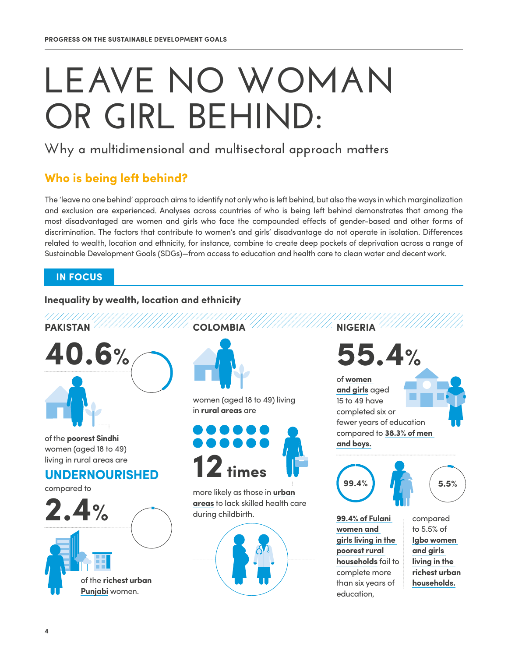# LEAVE NO WOMAN **OR GIRL BEHIND:**

### **Why a multidimensional and multisectoral approach matters**

### **Who is being left behind?**

The 'leave no one behind' approach aims to identify not only who is left behind, but also the ways in which marginalization and exclusion are experienced. Analyses across countries of who is being left behind demonstrates that among the most disadvantaged are women and girls who face the compounded effects of gender-based and other forms of discrimination. The factors that contribute to women's and girls' disadvantage do not operate in isolation. Differences related to wealth, location and ethnicity, for instance, combine to create deep pockets of deprivation across a range of Sustainable Development Goals (SDGs)—from access to education and health care to clean water and decent work.

### **IN FOCUS**

### **Inequality by wealth, location and ethnicity**

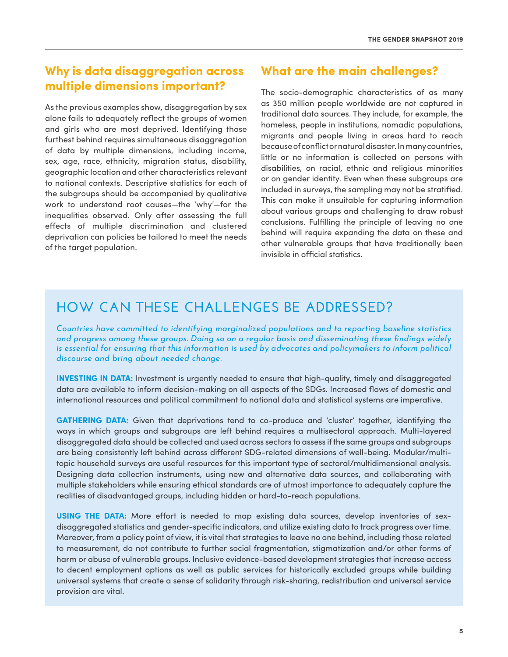### **Why is data disaggregation across multiple dimensions important?**

As the previous examples show, disaggregation by sex alone fails to adequately reflect the groups of women and girls who are most deprived. Identifying those furthest behind requires simultaneous disaggregation of data by multiple dimensions, including income, sex, age, race, ethnicity, migration status, disability, geographic location and other characteristics relevant to national contexts. Descriptive statistics for each of the subgroups should be accompanied by qualitative work to understand root causes—the 'why'—for the inequalities observed. Only after assessing the full effects of multiple discrimination and clustered deprivation can policies be tailored to meet the needs of the target population.

### **What are the main challenges?**

The socio-demographic characteristics of as many as 350 million people worldwide are not captured in traditional data sources. They include, for example, the homeless, people in institutions, nomadic populations, migrants and people living in areas hard to reach because of conflict or natural disaster. In many countries, little or no information is collected on persons with disabilities, on racial, ethnic and religious minorities or on gender identity. Even when these subgroups are included in surveys, the sampling may not be stratified. This can make it unsuitable for capturing information about various groups and challenging to draw robust conclusions. Fulfilling the principle of leaving no one behind will require expanding the data on these and other vulnerable groups that have traditionally been invisible in official statistics.

### **HOW CAN THESE CHALLENGES BE ADDRESSED?**

*Countries have committed to identifying marginalized populations and to reporting baseline statistics and progress among these groups. Doing so on a regular basis and disseminating these findings widely*  is essential for ensuring that this information is used by advocates and policymakers to inform political *discourse and bring about needed change.*

**INVESTING IN DATA:** Investment is urgently needed to ensure that high-quality, timely and disaggregated data are available to inform decision-making on all aspects of the SDGs. Increased flows of domestic and international resources and political commitment to national data and statistical systems are imperative.

**GATHERING DATA:** Given that deprivations tend to co-produce and 'cluster' together, identifying the ways in which groups and subgroups are left behind requires a multisectoral approach. Multi-layered disaggregated data should be collected and used across sectors to assess if the same groups and subgroups are being consistently left behind across different SDG-related dimensions of well-being. Modular/multitopic household surveys are useful resources for this important type of sectoral/multidimensional analysis. Designing data collection instruments, using new and alternative data sources, and collaborating with multiple stakeholders while ensuring ethical standards are of utmost importance to adequately capture the realities of disadvantaged groups, including hidden or hard-to-reach populations.

**USING THE DATA:** More effort is needed to map existing data sources, develop inventories of sexdisaggregated statistics and gender-specific indicators, and utilize existing data to track progress over time. Moreover, from a policy point of view, it is vital that strategies to leave no one behind, including those related to measurement, do not contribute to further social fragmentation, stigmatization and/or other forms of harm or abuse of vulnerable groups. Inclusive evidence-based development strategies that increase access to decent employment options as well as public services for historically excluded groups while building universal systems that create a sense of solidarity through risk-sharing, redistribution and universal service provision are vital.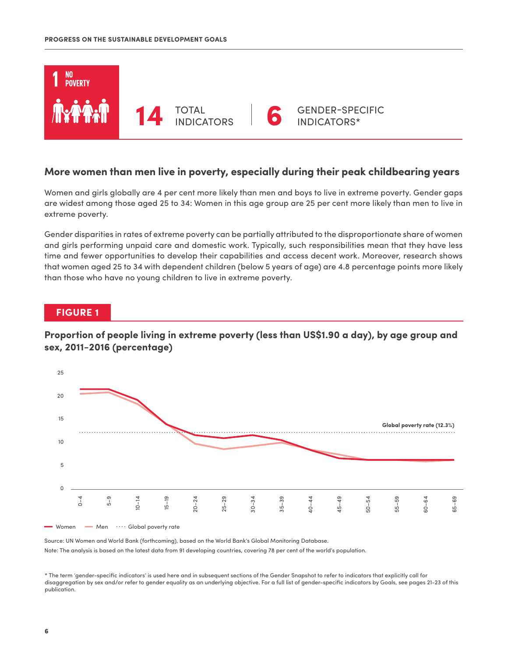

### **More women than men live in poverty, especially during their peak childbearing years**

Women and girls globally are 4 per cent more likely than men and boys to live in extreme poverty. Gender gaps are widest among those aged 25 to 34: Women in this age group are 25 per cent more likely than men to live in extreme poverty.

Gender disparities in rates of extreme poverty can be partially attributed to the disproportionate share of women and girls performing unpaid care and domestic work. Typically, such responsibilities mean that they have less time and fewer opportunities to develop their capabilities and access decent work. Moreover, research shows that women aged 25 to 34 with dependent children (below 5 years of age) are 4.8 percentage points more likely than those who have no young children to live in extreme poverty.

### **FIGURE 1**

### **Proportion of people living in extreme poverty (less than US\$1.90 a day), by age group and sex, 2011−2016 (percentage)**



Source: UN Women and World Bank (forthcoming), based on the World Bank's Global Monitoring Database. Note: The analysis is based on the latest data from 91 developing countries, covering 78 per cent of the world's population.

\* The term 'gender-specific indicators' is used here and in subsequent sections of the Gender Snapshot to refer to indicators that explicitly call for disaggregation by sex and/or refer to gender equality as an underlying objective. For a full list of gender-specific indicators by Goals, see pages 21-23 of this publication.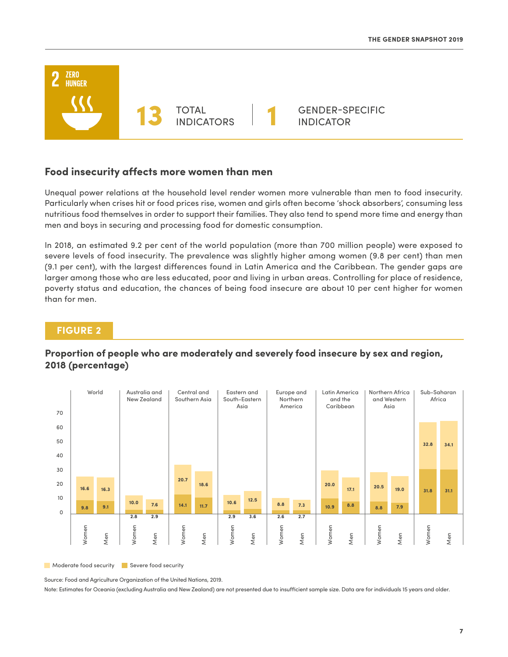

### **Food insecurity affects more women than men**

Unequal power relations at the household level render women more vulnerable than men to food insecurity. Particularly when crises hit or food prices rise, women and girls often become 'shock absorbers', consuming less nutritious food themselves in order to support their families. They also tend to spend more time and energy than men and boys in securing and processing food for domestic consumption.

In 2018, an estimated 9.2 per cent of the world population (more than 700 million people) were exposed to severe levels of food insecurity. The prevalence was slightly higher among women (9.8 per cent) than men (9.1 per cent), with the largest differences found in Latin America and the Caribbean. The gender gaps are larger among those who are less educated, poor and living in urban areas. Controlling for place of residence, poverty status and education, the chances of being food insecure are about 10 per cent higher for women than for men.

### **FIGURE 2**

### **Proportion of people who are moderately and severely food insecure by sex and region, 2018 (percentage)**



Moderate food security **Severe food security** 

Source: Food and Agriculture Organization of the United Nations, 2019.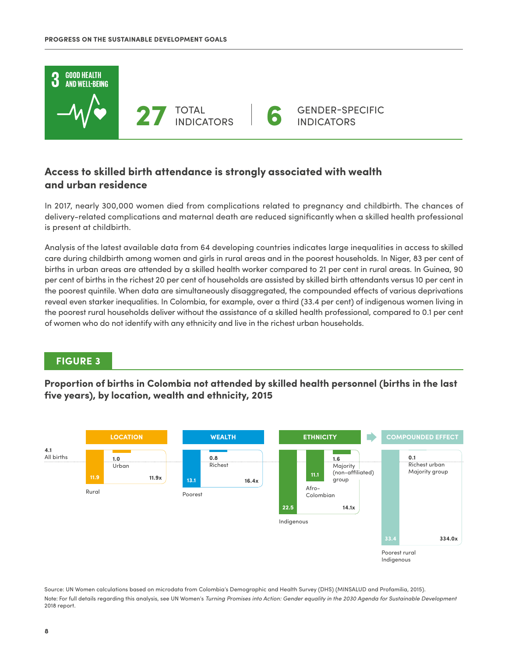

### **Access to skilled birth attendance is strongly associated with wealth and urban residence**

In 2017, nearly 300,000 women died from complications related to pregnancy and childbirth. The chances of delivery-related complications and maternal death are reduced significantly when a skilled health professional is present at childbirth.

Analysis of the latest available data from 64 developing countries indicates large inequalities in access to skilled care during childbirth among women and girls in rural areas and in the poorest households. In Niger, 83 per cent of births in urban areas are attended by a skilled health worker compared to 21 per cent in rural areas. In Guinea, 90 per cent of births in the richest 20 per cent of households are assisted by skilled birth attendants versus 10 per cent in the poorest quintile. When data are simultaneously disaggregated, the compounded effects of various deprivations reveal even starker inequalities. In Colombia, for example, over a third (33.4 per cent) of indigenous women living in the poorest rural households deliver without the assistance of a skilled health professional, compared to 0.1 per cent of women who do not identify with any ethnicity and live in the richest urban households.

### **FIGURE 3**

**Proportion of births in Colombia not attended by skilled health personnel (births in the last five years), by location, wealth and ethnicity, 2015**



Source: UN Women calculations based on microdata from Colombia's Demographic and Health Survey (DHS) (MINSALUD and Profamilia, 2015). Note: For full details regarding this analysis, see UN Women's *Turning Promises into Action: Gender equality in the 2030 Agenda for Sustainable Development* 2018 report.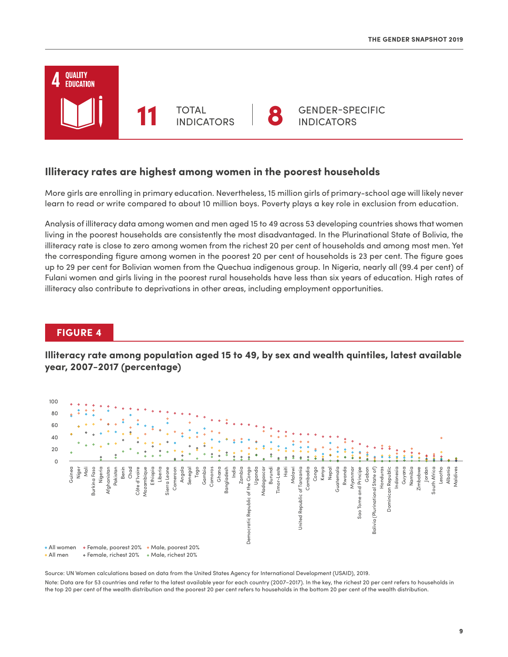

#### **Illiteracy rates are highest among women in the poorest households**

More girls are enrolling in primary education. Nevertheless, 15 million girls of primary-school age will likely never learn to read or write compared to about 10 million boys. Poverty plays a key role in exclusion from education.

Analysis of illiteracy data among women and men aged 15 to 49 across 53 developing countries shows that women living in the poorest households are consistently the most disadvantaged. In the Plurinational State of Bolivia, the illiteracy rate is close to zero among women from the richest 20 per cent of households and among most men. Yet the corresponding figure among women in the poorest 20 per cent of households is 23 per cent. The figure goes up to 29 per cent for Bolivian women from the Quechua indigenous group. In Nigeria, nearly all (99.4 per cent) of Fulani women and girls living in the poorest rural households have less than six years of education. High rates of illiteracy also contribute to deprivations in other areas, including employment opportunities.

### **FIGURE 4**

**Illiteracy rate among population aged 15 to 49, by sex and wealth quintiles, latest available year, 2007−2017 (percentage)**



Source: UN Women calculations based on data from the United States Agency for International Development (USAID), 2019.

Note: Data are for 53 countries and refer to the latest available year for each country (2007−2017). In the key, the richest 20 per cent refers to households in the top 20 per cent of the wealth distribution and the poorest 20 per cent refers to households in the bottom 20 per cent of the wealth distribution.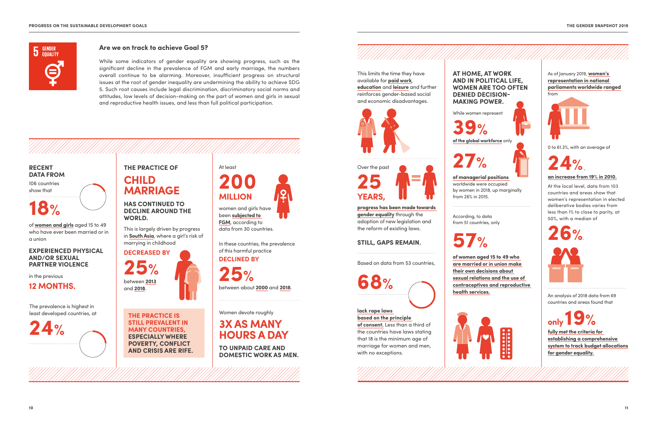

An analysis of 2018 data from 69 countries and areas found that

**only 19%**

**fully met the criteria for establishing a comprehensive system to track budget allocations for gender equality.**

As of January 2019, **women's representation in national parliaments worldwide ranged** from



0 to 61.3%, with an average of

**24%** , **an increase from 19% in 2010.**

At the local level, data from 103 countries and areas show that women's representation in elected deliberative bodies varies from less than 1% to close to parity, at 50%, with a median of



### **Are we on track to achieve Goal 5?**

While some indicators of gender equality are showing progress, such as the significant decline in the prevalence of FGM and early marriage, the numbers overall continue to be alarming. Moreover, insufficient progress on structural issues at the root of gender inequality are undermining the ability to achieve SDG 5. Such root causes include legal discrimination, discriminatory social norms and attitudes, low levels of decision-making on the part of women and girls in sexual and reproductive health issues, and less than full political participation.

### **THE PRACTICE OF CHILD MARRIAGE**

**HAS CONTINUED TO DECLINE AROUND THE WORLD.**

## At least **200**



### **RECENT DATA FROM**

106 countries show that

## **18%**

of **women and girls** aged 15 to 49 who have ever been married or in a union



**THE PRACTICE IS STILL PREVALENT IN MANY COUNTRIES, ESPECIALLY WHERE POVERTY, CONFLICT AND CRISIS ARE RIFE.**

#### **EXPERIENCED PHYSICAL AND/OR SEXUAL PARTNER VIOLENCE**

in the previous

**12 MONTHS.** 

The prevalence is highest in least developed countries, at

**24%**

In these countries, the prevalence

of this harmful practice

### **DECLINED BY**

**25%** between about **2000** and **2018**.

This is largely driven by progress in **South Asia**, where a girl's risk of marrying in childhood

### **DECREASED BY**

#### Women devote roughly

## **3X AS MANY HOURS A DAY**

**TO UNPAID CARE AND DOMESTIC WORK AS MEN.** 

**AT HOME, AT WORK AND IN POLITICAL LIFE, WOMEN ARE TOO OFTEN DENIED DECISION-MAKING POWER.** 



**progress has been made towards gender equality** through the adoption of new legislation and the reform of existing laws.

women and girls have been **subjected to FGM**, according to data from 30 countries.

### **STILL, GAPS REMAIN.**

**68%**



**lack rape laws** 

**based on the principle of consent.** Less than a third of the countries have laws stating that 18 is the minimum age of marriage for women and men, with no exceptions.

Based on data from 53 countries,

According, to data from 51 countries, only

# **57%**

**of women aged 15 to 49 who are married or in union make their own decisions about sexual relations and the use of contraceptives and reproductive health services.**



While women represent

**39%**

**of the global workforce** only

**27%**



#### **of managerial positions**  worldwide were occupied

by women in 2018, up marginally from 26% in 2015.

This limits the time they have available for **paid work**, **education** and **leisure** and further reinforces gender-based social and economic disadvantages.

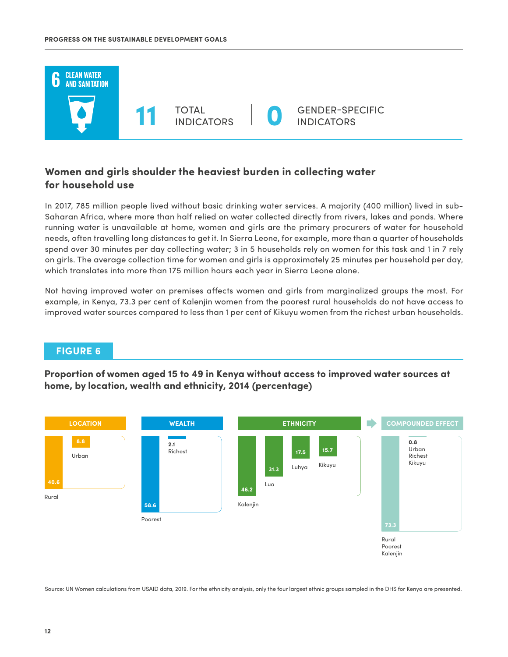

### **Women and girls shoulder the heaviest burden in collecting water for household use**

In 2017, 785 million people lived without basic drinking water services. A majority (400 million) lived in sub-Saharan Africa, where more than half relied on water collected directly from rivers, lakes and ponds. Where running water is unavailable at home, women and girls are the primary procurers of water for household needs, often travelling long distances to get it. In Sierra Leone, for example, more than a quarter of households spend over 30 minutes per day collecting water; 3 in 5 households rely on women for this task and 1 in 7 rely on girls. The average collection time for women and girls is approximately 25 minutes per household per day, which translates into more than 175 million hours each year in Sierra Leone alone.

Not having improved water on premises affects women and girls from marginalized groups the most. For example, in Kenya, 73.3 per cent of Kalenjin women from the poorest rural households do not have access to improved water sources compared to less than 1 per cent of Kikuyu women from the richest urban households.

### **FIGURE 6**

**Proportion of women aged 15 to 49 in Kenya without access to improved water sources at home, by location, wealth and ethnicity, 2014 (percentage)**



Source: UN Women calculations from USAID data, 2019. For the ethnicity analysis, only the four largest ethnic groups sampled in the DHS for Kenya are presented.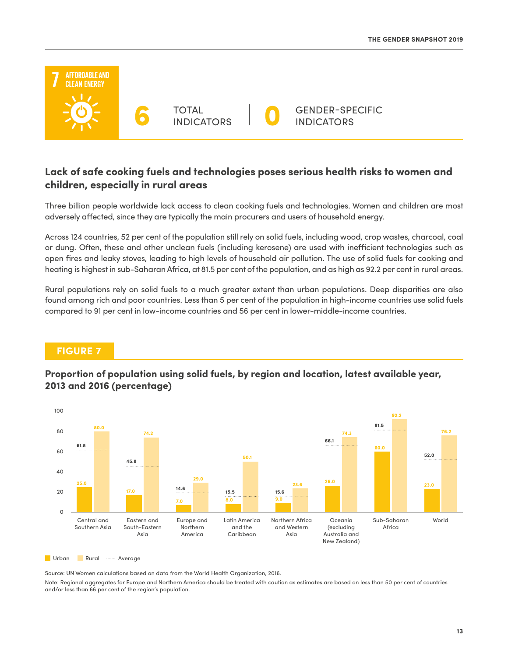

### **Lack of safe cooking fuels and technologies poses serious health risks to women and children, especially in rural areas**

Three billion people worldwide lack access to clean cooking fuels and technologies. Women and children are most adversely affected, since they are typically the main procurers and users of household energy.

Across 124 countries, 52 per cent of the population still rely on solid fuels, including wood, crop wastes, charcoal, coal or dung. Often, these and other unclean fuels (including kerosene) are used with inefficient technologies such as open fires and leaky stoves, leading to high levels of household air pollution. The use of solid fuels for cooking and heating is highest in sub-Saharan Africa, at 81.5 per cent of the population, and as high as 92.2 per cent in rural areas.

Rural populations rely on solid fuels to a much greater extent than urban populations. Deep disparities are also found among rich and poor countries. Less than 5 per cent of the population in high-income countries use solid fuels compared to 91 per cent in low-income countries and 56 per cent in lower-middle-income countries.

### **FIGURE 7**

**Proportion of population using solid fuels, by region and location, latest available year, 2013 and 2016 (percentage)** 



Urban Rural **Average** 

Source: UN Women calculations based on data from the World Health Organization, 2016.

Note: Regional aggregates for Europe and Northern America should be treated with caution as estimates are based on less than 50 per cent of countries and/or less than 66 per cent of the region's population.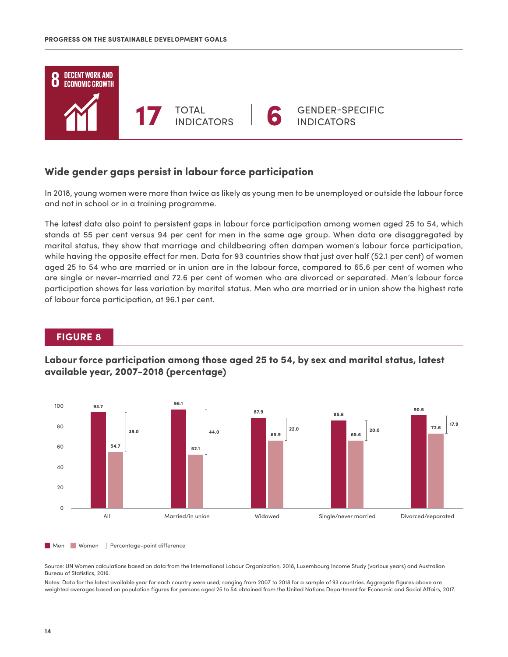

### **Wide gender gaps persist in labour force participation**

In 2018, young women were more than twice as likely as young men to be unemployed or outside the labour force and not in school or in a training programme.

The latest data also point to persistent gaps in labour force participation among women aged 25 to 54, which stands at 55 per cent versus 94 per cent for men in the same age group. When data are disaggregated by marital status, they show that marriage and childbearing often dampen women's labour force participation, while having the opposite effect for men. Data for 93 countries show that just over half (52.1 per cent) of women aged 25 to 54 who are married or in union are in the labour force, compared to 65.6 per cent of women who are single or never-married and 72.6 per cent of women who are divorced or separated. Men's labour force participation shows far less variation by marital status. Men who are married or in union show the highest rate of labour force participation, at 96.1 per cent.

### **FIGURE 8**

### **Labour force participation among those aged 25 to 54, by sex and marital status, latest available year, 2007−2018 (percentage)**



#### Men Women **I** Percentage-point difference

Source: UN Women calculations based on data from the International Labour Organization, 2018, Luxembourg Income Study (various years) and Australian Bureau of Statistics, 2016.

Notes: Data for the latest available year for each country were used, ranging from 2007 to 2018 for a sample of 93 countries. Aggregate figures above are weighted averages based on population figures for persons aged 25 to 54 obtained from the United Nations Department for Economic and Social Affairs, 2017.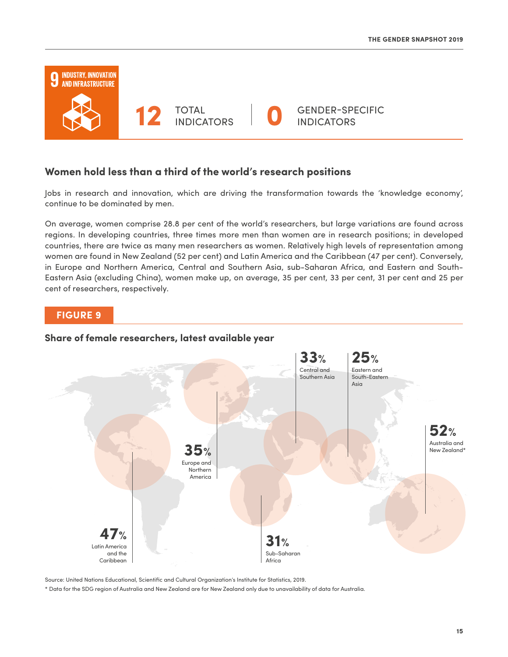

### **Women hold less than a third of the world's research positions**

Jobs in research and innovation, which are driving the transformation towards the 'knowledge economy', continue to be dominated by men.

On average, women comprise 28.8 per cent of the world's researchers, but large variations are found across regions. In developing countries, three times more men than women are in research positions; in developed countries, there are twice as many men researchers as women. Relatively high levels of representation among women are found in New Zealand (52 per cent) and Latin America and the Caribbean (47 per cent). Conversely, in Europe and Northern America, Central and Southern Asia, sub-Saharan Africa, and Eastern and South-Eastern Asia (excluding China), women make up, on average, 35 per cent, 33 per cent, 31 per cent and 25 per cent of researchers, respectively.

### **FIGURE 9**

#### **Share of female researchers, latest available year**



Source: United Nations Educational, Scientific and Cultural Organization's Institute for Statistics, 2019.

\* Data for the SDG region of Australia and New Zealand are for New Zealand only due to unavailability of data for Australia.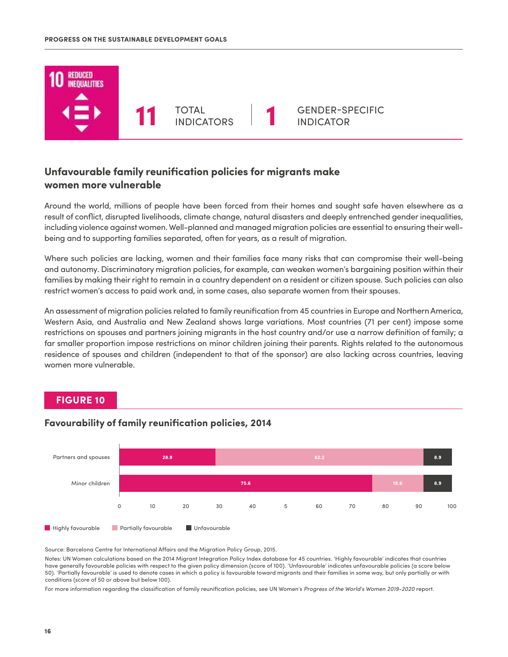

### **Unfavourable family reunification policies for migrants make women more vulnerable**

Around the world, millions of people have been forced from their homes and sought safe haven elsewhere as a result of conflict, disrupted livelihoods, climate change, natural disasters and deeply entrenched gender inequalities, including violence against women. Well-planned and managed migration policies are essential to ensuring their wellbeing and to supporting families separated, often for years, as a result of migration.

Where such policies are lacking, women and their families face many risks that can compromise their well-being and autonomy. Discriminatory migration policies, for example, can weaken women's bargaining position within their families by making their right to remain in a country dependent on a resident or citizen spouse. Such policies can also restrict women's access to paid work and, in some cases, also separate women from their spouses.

An assessment of migration policies related to family reunification from 45 countries in Europe and Northern America, Western Asia, and Australia and New Zealand shows large variations. Most countries (71 per cent) impose some restrictions on spouses and partners joining migrants in the host country and/or use a narrow definition of family; a far smaller proportion impose restrictions on minor children joining their parents. Rights related to the autonomous residence of spouses and children (independent to that of the sponsor) are also lacking across countries, leaving women more vulnerable.

### **FIGURE 10**



#### **Favourability of family reunification policies, 2014**

Source: Barcelona Centre for International Affairs and the Migration Policy Group, 2015.

Notes: UN Women calculations based on the 2014 Migrant Integration Policy Index database for 45 countries. 'Highly favourable' indicates that countries have generally favourable policies with respect to the given policy dimension (score of 100). 'Unfavourable' indicates unfavourable policies (a score below 50). 'Partially favourable' is used to denote cases in which a policy is favourable toward migrants and their families in some way, but only partially or with conditions (score of 50 or above but below 100).

For more information regarding the classification of family reunification policies, see UN Women's *Progress of the World's Women 2019-2020* report.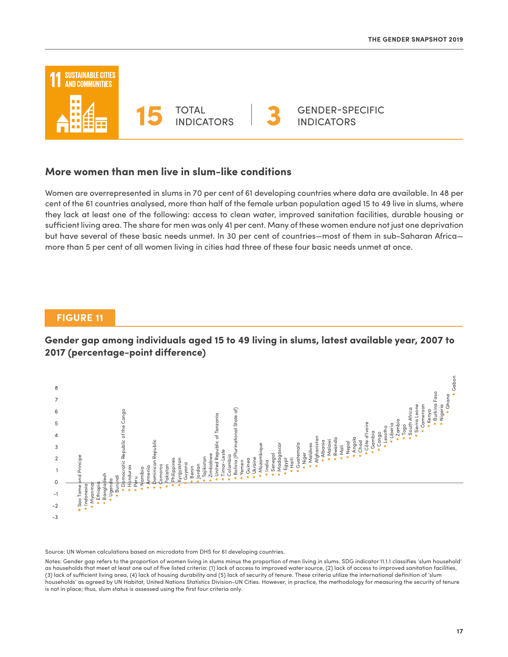

#### **More women than men live in slum-like conditions**

Women are overrepresented in slums in 70 per cent of 61 developing countries where data are available. In 48 per cent of the 61 countries analysed, more than half of the female urban population aged 15 to 49 live in slums, where they lack at least one of the following: access to clean water, improved sanitation facilities, durable housing or sufficient living area. The share for men was only 41 per cent. Many of these women endure not just one deprivation but have several of these basic needs unmet. In 30 per cent of countries—most of them in sub-Saharan Africa more than 5 per cent of all women living in cities had three of these four basic needs unmet at once.

### **FIGURE 11**

**Gender gap among individuals aged 15 to 49 living in slums, latest available year, 2007 to 2017 (percentage-point difference)** 



Source: UN Women calculations based on microdata from DHS for 61 developing countries.

Notes: Gender gap refers to the proportion of women living in slums minus the proportion of men living in slums. SDG indicator 11.1.1 classifies 'slum household' as households that meet at least one out of five listed criteria: (1) lack of access to improved water source, (2) lack of access to improved sanitation facilities, (3) lack of sufficient living area, (4) lack of housing durability and (5) lack of security of tenure. These criteria utilize the international definition of 'slum households' as agreed by UN Habitat, United Nations Statistics Division-UN Cities. However, in practice, the methodology for measuring the security of tenure is not in place; thus, slum status is assessed using the first four criteria only.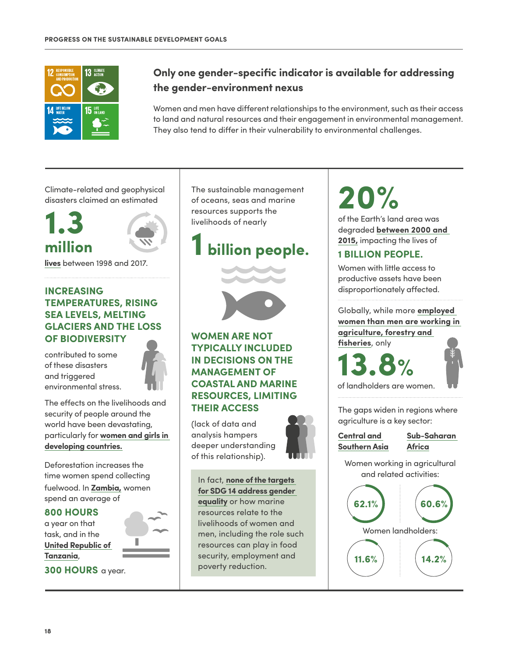

### **Only one gender-specific indicator is available for addressing the gender-environment nexus**

Women and men have different relationships to the environment, such as their access to land and natural resources and their engagement in environmental management. They also tend to differ in their vulnerability to environmental challenges.

Climate-related and geophysical disasters claimed an estimated



**lives** between 1998 and 2017.

### **INCREASING TEMPERATURES, RISING SEA LEVELS, MELTING GLACIERS AND THE LOSS OF BIODIVERSITY**

contributed to some of these disasters and triggered environmental stress.



The effects on the livelihoods and security of people around the world have been devastating, particularly for **women and girls in developing countries.**

Deforestation increases the time women spend collecting fuelwood. In **Zambia,** women spend an average of

#### **800 HOURS**

a year on that task, and in the **United Republic of Tanzania**,



**300 HOURS** a year.

The sustainable management of oceans, seas and marine resources supports the livelihoods of nearly

### **1 billion people.**



### **WOMEN ARE NOT TYPICALLY INCLUDED IN DECISIONS ON THE MANAGEMENT OF COASTAL AND MARINE RESOURCES, LIMITING THEIR ACCESS**

(lack of data and analysis hampers deeper understanding of this relationship).



In fact, **none of the targets for SDG 14 address gender equality** or how marine resources relate to the livelihoods of women and men, including the role such resources can play in food security, employment and poverty reduction.

# **20%**

of the Earth's land area was degraded **between 2000 and 2015,** impacting the lives of

### **1 BILLION PEOPLE.**

Women with little access to productive assets have been disproportionately affected.

Globally, while more **employed women than men are working in agriculture, forestry and fisheries**, only

**13.8%**



of landholders are women.

The gaps widen in regions where agriculture is a key sector:

#### **Central and Southern Asia**

**Sub-Saharan Africa**

Women working in agricultural and related activities:

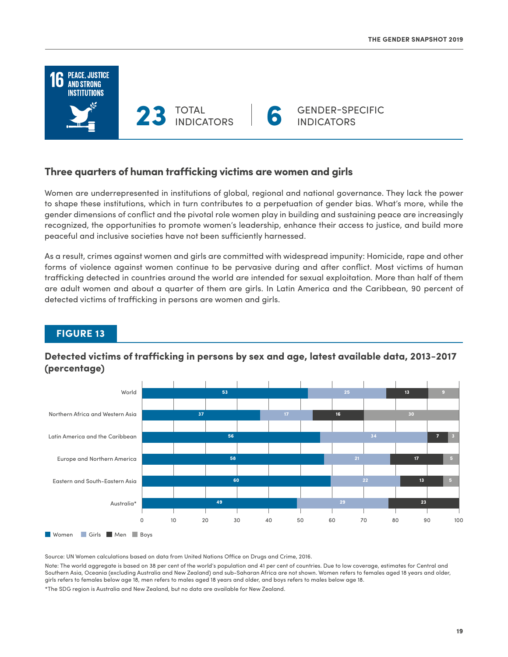

### **Three quarters of human trafficking victims are women and girls**

Women are underrepresented in institutions of global, regional and national governance. They lack the power to shape these institutions, which in turn contributes to a perpetuation of gender bias. What's more, while the gender dimensions of conflict and the pivotal role women play in building and sustaining peace are increasingly recognized, the opportunities to promote women's leadership, enhance their access to justice, and build more peaceful and inclusive societies have not been sufficiently harnessed.

As a result, crimes against women and girls are committed with widespread impunity: Homicide, rape and other forms of violence against women continue to be pervasive during and after conflict. Most victims of human trafficking detected in countries around the world are intended for sexual exploitation. More than half of them are adult women and about a quarter of them are girls. In Latin America and the Caribbean, 90 percent of detected victims of trafficking in persons are women and girls.



### **FIGURE 13**

### **Detected victims of trafficking in persons by sex and age, latest available data, 2013−2017 (percentage)**

Source: UN Women calculations based on data from United Nations Office on Drugs and Crime, 2016.

Note: The world aggregate is based on 38 per cent of the world's population and 41 per cent of countries. Due to low coverage, estimates for Central and Southern Asia, Oceania (excluding Australia and New Zealand) and sub-Saharan Africa are not shown. Women refers to females aged 18 years and older, girls refers to females below age 18, men refers to males aged 18 years and older, and boys refers to males below age 18.

\*The SDG region is Australia and New Zealand, but no data are available for New Zealand.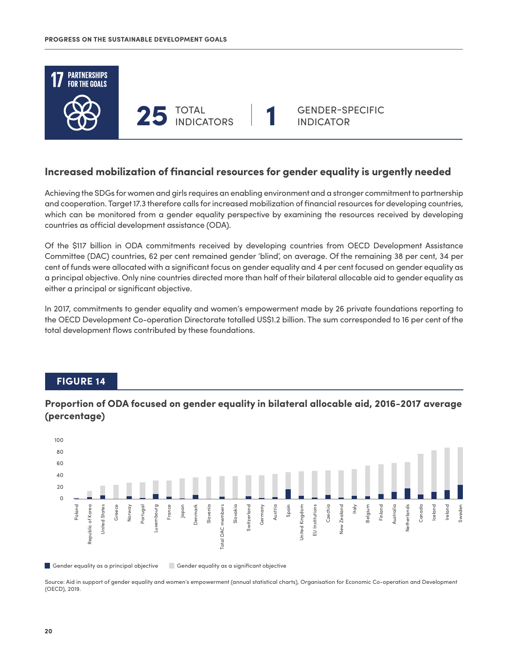

### **Increased mobilization of financial resources for gender equality is urgently needed**

Achieving the SDGs for women and girls requires an enabling environment and a stronger commitment to partnership and cooperation. Target 17.3 therefore calls for increased mobilization of financial resources for developing countries, which can be monitored from a gender equality perspective by examining the resources received by developing countries as official development assistance (ODA).

Of the \$117 billion in ODA commitments received by developing countries from OECD Development Assistance Committee (DAC) countries, 62 per cent remained gender 'blind', on average. Of the remaining 38 per cent, 34 per cent of funds were allocated with a significant focus on gender equality and 4 per cent focused on gender equality as a principal objective. Only nine countries directed more than half of their bilateral allocable aid to gender equality as either a principal or significant objective.

In 2017, commitments to gender equality and women's empowerment made by 26 private foundations reporting to the OECD Development Co-operation Directorate totalled US\$1.2 billion. The sum corresponded to 16 per cent of the total development flows contributed by these foundations.

### **FIGURE 14**

### **Proportion of ODA focused on gender equality in bilateral allocable aid, 2016-2017 average (percentage)**



Gender equality as a principal objective Gender equality as a significant objective

Source: Aid in support of gender equality and women's empowerment (annual statistical charts), Organisation for Economic Co-operation and Development (OECD), 2019.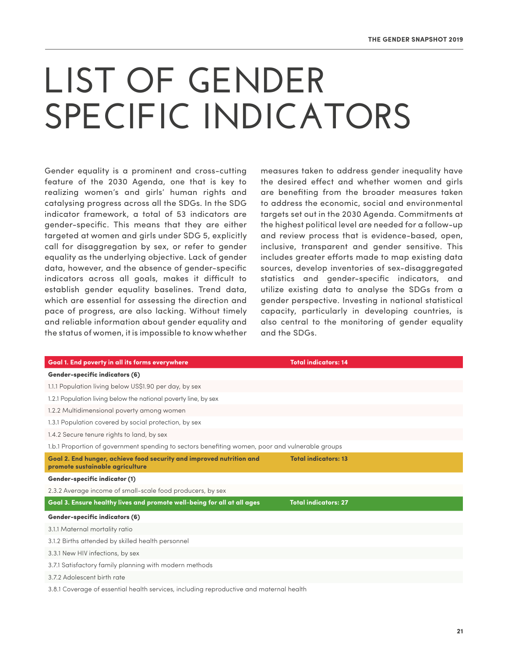# **LIST OF GENDER SPECIFIC INDICATORS**

Gender equality is a prominent and cross-cutting feature of the 2030 Agenda, one that is key to realizing women's and girls' human rights and catalysing progress across all the SDGs. In the SDG indicator framework, a total of 53 indicators are gender-specific. This means that they are either targeted at women and girls under SDG 5, explicitly call for disaggregation by sex, or refer to gender equality as the underlying objective. Lack of gender data, however, and the absence of gender-specific indicators across all goals, makes it difficult to establish gender equality baselines. Trend data, which are essential for assessing the direction and pace of progress, are also lacking. Without timely and reliable information about gender equality and the status of women, it is impossible to know whether measures taken to address gender inequality have the desired effect and whether women and girls are benefiting from the broader measures taken to address the economic, social and environmental targets set out in the 2030 Agenda. Commitments at the highest political level are needed for a follow-up and review process that is evidence-based, open, inclusive, transparent and gender sensitive. This includes greater efforts made to map existing data sources, develop inventories of sex-disaggregated statistics and gender-specific indicators, and utilize existing data to analyse the SDGs from a gender perspective. Investing in national statistical capacity, particularly in developing countries, is also central to the monitoring of gender equality and the SDGs.

| Goal 1. End poverty in all its forms everywhere                                                         | <b>Total indicators: 14</b> |  |
|---------------------------------------------------------------------------------------------------------|-----------------------------|--|
| <b>Gender-specific indicators (6)</b>                                                                   |                             |  |
| 1.1.1 Population living below US\$1.90 per day, by sex                                                  |                             |  |
| 1.2.1 Population living below the national poverty line, by sex                                         |                             |  |
| 1.2.2 Multidimensional poverty among women                                                              |                             |  |
| 1.3.1 Population covered by social protection, by sex                                                   |                             |  |
| 1.4.2 Secure tenure rights to land, by sex                                                              |                             |  |
| 1.b.1 Proportion of government spending to sectors benefiting women, poor and vulnerable groups         |                             |  |
| Goal 2. End hunger, achieve food security and improved nutrition and<br>promote sustainable agriculture | <b>Total indicators: 13</b> |  |
| <b>Gender-specific indicator (1)</b>                                                                    |                             |  |
| 2.3.2 Average income of small-scale food producers, by sex                                              |                             |  |
| Goal 3. Ensure healthy lives and promote well-being for all at all ages                                 | <b>Total indicators: 27</b> |  |
| <b>Gender-specific indicators (6)</b>                                                                   |                             |  |
| 3.1.1 Maternal mortality ratio                                                                          |                             |  |
| 3.1.2 Births attended by skilled health personnel                                                       |                             |  |
| 3.3.1 New HIV infections, by sex                                                                        |                             |  |
| 3.7.1 Satisfactory family planning with modern methods                                                  |                             |  |
| 3.7.2 Adolescent birth rate                                                                             |                             |  |
| 3.8.1 Coverage of essential health services, including reproductive and maternal health                 |                             |  |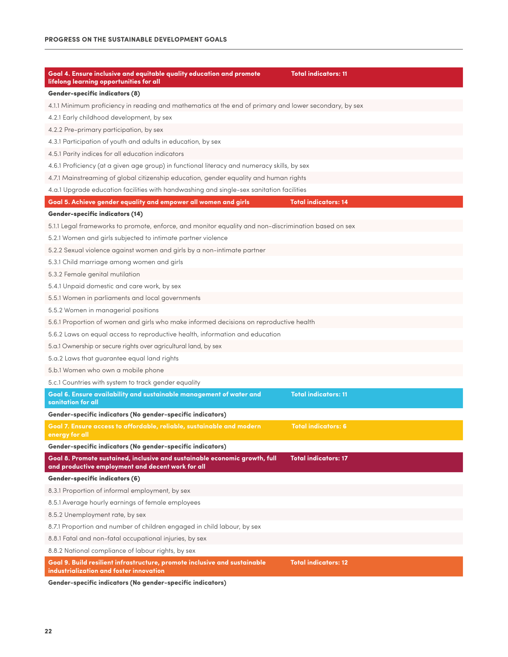| Goal 4. Ensure inclusive and equitable quality education and promote<br>lifelong learning opportunities for all                 | <b>Total indicators: 11</b> |  |
|---------------------------------------------------------------------------------------------------------------------------------|-----------------------------|--|
| <b>Gender-specific indicators (8)</b>                                                                                           |                             |  |
| 4.1.1 Minimum proficiency in reading and mathematics at the end of primary and lower secondary, by sex                          |                             |  |
| 4.2.1 Early childhood development, by sex                                                                                       |                             |  |
| 4.2.2 Pre-primary participation, by sex                                                                                         |                             |  |
| 4.3.1 Participation of youth and adults in education, by sex                                                                    |                             |  |
| 4.5.1 Parity indices for all education indicators                                                                               |                             |  |
| 4.6.1 Proficiency (at a given age group) in functional literacy and numeracy skills, by sex                                     |                             |  |
| 4.7.1 Mainstreaming of global citizenship education, gender equality and human rights                                           |                             |  |
| 4.a.1 Upgrade education facilities with handwashing and single-sex sanitation facilities                                        |                             |  |
| Goal 5. Achieve gender equality and empower all women and girls                                                                 | <b>Total indicators: 14</b> |  |
| <b>Gender-specific indicators (14)</b>                                                                                          |                             |  |
| 5.1.1 Legal frameworks to promote, enforce, and monitor equality and non-discrimination based on sex                            |                             |  |
| 5.2.1 Women and girls subjected to intimate partner violence                                                                    |                             |  |
| 5.2.2 Sexual violence against women and girls by a non-intimate partner                                                         |                             |  |
| 5.3.1 Child marriage among women and girls                                                                                      |                             |  |
| 5.3.2 Female genital mutilation                                                                                                 |                             |  |
| 5.4.1 Unpaid domestic and care work, by sex                                                                                     |                             |  |
| 5.5.1 Women in parliaments and local governments                                                                                |                             |  |
| 5.5.2 Women in managerial positions                                                                                             |                             |  |
| 5.6.1 Proportion of women and girls who make informed decisions on reproductive health                                          |                             |  |
| 5.6.2 Laws on equal access to reproductive health, information and education                                                    |                             |  |
| 5.a.1 Ownership or secure rights over agricultural land, by sex                                                                 |                             |  |
| 5.a.2 Laws that guarantee equal land rights                                                                                     |                             |  |
| 5.b.1 Women who own a mobile phone                                                                                              |                             |  |
| 5.c.1 Countries with system to track gender equality                                                                            |                             |  |
| Goal 6. Ensure availability and sustainable management of water and<br>sanitation for all                                       | <b>Total indicators: 11</b> |  |
| Gender-specific indicators (No gender-specific indicators)                                                                      |                             |  |
| Goal 7. Ensure access to affordable, reliable, sustainable and modern<br>energy for all                                         | <b>Total indicators: 6</b>  |  |
| Gender-specific indicators (No gender-specific indicators)                                                                      |                             |  |
| Goal 8. Promote sustained, inclusive and sustainable economic growth, full<br>and productive employment and decent work for all | <b>Total indicators: 17</b> |  |
| <b>Gender-specific indicators (6)</b>                                                                                           |                             |  |
| 8.3.1 Proportion of informal employment, by sex                                                                                 |                             |  |
| 8.5.1 Average hourly earnings of female employees                                                                               |                             |  |
| 8.5.2 Unemployment rate, by sex                                                                                                 |                             |  |
| 8.7.1 Proportion and number of children engaged in child labour, by sex                                                         |                             |  |
| 8.8.1 Fatal and non-fatal occupational injuries, by sex                                                                         |                             |  |
| 8.8.2 National compliance of labour rights, by sex                                                                              |                             |  |
| Goal 9. Build resilient infrastructure, promote inclusive and sustainable<br>industrialization and foster innovation            | <b>Total indicators: 12</b> |  |

**Gender-specific indicators (No gender-specific indicators)**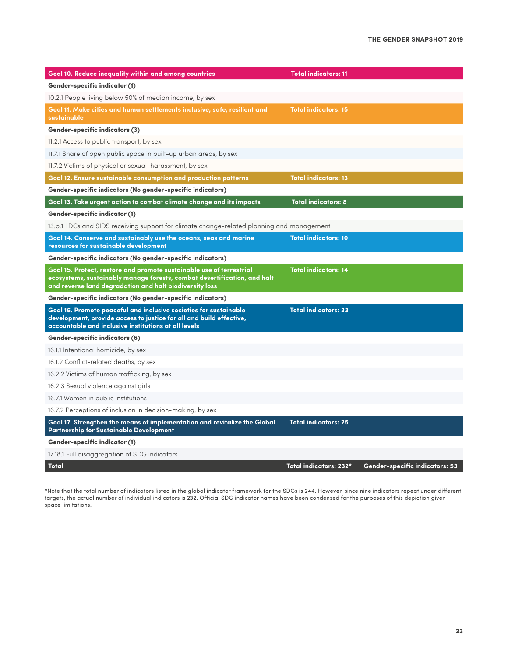| Goal 10. Reduce inequality within and among countries                                                                                                                                                       | <b>Total indicators: 11</b> |                                |
|-------------------------------------------------------------------------------------------------------------------------------------------------------------------------------------------------------------|-----------------------------|--------------------------------|
| <b>Gender-specific indicator (1)</b>                                                                                                                                                                        |                             |                                |
| 10.2.1 People living below 50% of median income, by sex                                                                                                                                                     |                             |                                |
| Goal 11. Make cities and human settlements inclusive, safe, resilient and<br>sustainable                                                                                                                    | <b>Total indicators: 15</b> |                                |
| <b>Gender-specific indicators (3)</b>                                                                                                                                                                       |                             |                                |
| 11.2.1 Access to public transport, by sex                                                                                                                                                                   |                             |                                |
| 11.7.1 Share of open public space in built-up urban areas, by sex                                                                                                                                           |                             |                                |
| 11.7.2 Victims of physical or sexual harassment, by sex                                                                                                                                                     |                             |                                |
| Goal 12. Ensure sustainable consumption and production patterns                                                                                                                                             | <b>Total indicators: 13</b> |                                |
| Gender-specific indicators (No gender-specific indicators)                                                                                                                                                  |                             |                                |
| Goal 13. Take urgent action to combat climate change and its impacts                                                                                                                                        | <b>Total indicators: 8</b>  |                                |
| Gender-specific indicator (1)                                                                                                                                                                               |                             |                                |
| 13.b.1 LDCs and SIDS receiving support for climate change-related planning and management                                                                                                                   |                             |                                |
| Goal 14. Conserve and sustainably use the oceans, seas and marine<br>resources for sustainable development                                                                                                  | <b>Total indicators: 10</b> |                                |
| Gender-specific indicators (No gender-specific indicators)                                                                                                                                                  |                             |                                |
| Goal 15. Protect, restore and promote sustainable use of terrestrial<br>ecosystems, sustainably manage forests, combat desertification, and halt<br>and reverse land degradation and halt biodiversity loss | <b>Total indicators: 14</b> |                                |
| Gender-specific indicators (No gender-specific indicators)                                                                                                                                                  |                             |                                |
| Goal 16. Promote peaceful and inclusive societies for sustainable<br>development, provide access to justice for all and build effective,<br>accountable and inclusive institutions at all levels            | <b>Total indicators: 23</b> |                                |
| <b>Gender-specific indicators (6)</b>                                                                                                                                                                       |                             |                                |
| 16.1.1 Intentional homicide, by sex                                                                                                                                                                         |                             |                                |
| 16.1.2 Conflict-related deaths, by sex                                                                                                                                                                      |                             |                                |
| 16.2.2 Victims of human trafficking, by sex                                                                                                                                                                 |                             |                                |
| 16.2.3 Sexual violence against girls                                                                                                                                                                        |                             |                                |
| 16.7.1 Women in public institutions                                                                                                                                                                         |                             |                                |
| 16.7.2 Perceptions of inclusion in decision-making, by sex                                                                                                                                                  |                             |                                |
| Goal 17. Strengthen the means of implementation and revitalize the Global<br>Partnership for Sustainable Development                                                                                        | <b>Total indicators: 25</b> |                                |
| <b>Gender-specific indicator (1)</b>                                                                                                                                                                        |                             |                                |
| 17.18.1 Full disaggregation of SDG indicators                                                                                                                                                               |                             |                                |
| Total                                                                                                                                                                                                       | Total indicators: 232*      | Gender-specific indicators: 53 |

\*Note that the total number of indicators listed in the global indicator framework for the SDGs is 244. However, since nine indicators repeat under different targets, the actual number of individual indicators is 232. Official SDG indicator names have been condensed for the purposes of this depiction given space limitations.